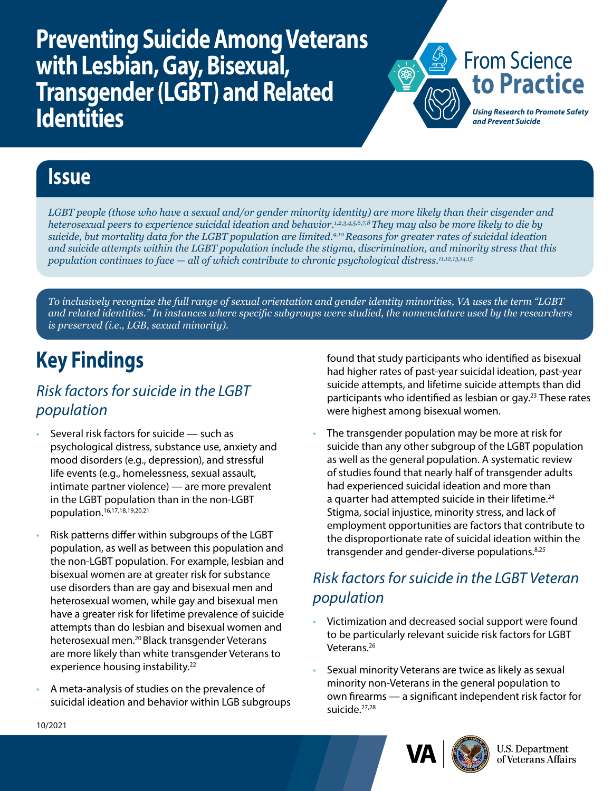**Preventing Suicide Among Veterans with Lesbian, Gay, Bisexual, Transgender (LGBT) and Related Identities**



## **Issue**

*LGBT people (those who have a sexual and/or gender minority identity) are more likely than their cisgender and heterosexual peers to experience suicidal ideation and behavior.1,2,3,4,5,6,7,8 They may also be more likely to die by suicide, but mortality data for the LGBT population are limited.9,10 Reasons for greater rates of suicidal ideation and suicide attempts within the LGBT population include the stigma, discrimination, and minority stress that this population continues to face — all of which contribute to chronic psychological distress.11,12,13,14,15*

*To inclusively recognize the full range of sexual orientation and gender identity minorities, VA uses the term "LGBT and related identities." In instances where specific subgroups were studied, the nomenclature used by the researchers is preserved (i.e., LGB, sexual minority).*

# **Key Findings**

### *Risk factors for suicide in the LGBT population*

- Several risk factors for suicide such as psychological distress, substance use, anxiety and mood disorders (e.g., depression), and stressful life events (e.g., homelessness, sexual assault, intimate partner violence) — are more prevalent in the LGBT population than in the non-LGBT population.16,17,18,19,20,21
- Risk patterns differ within subgroups of the LGBT population, as well as between this population and the non-LGBT population. For example, lesbian and bisexual women are at greater risk for substance use disorders than are gay and bisexual men and heterosexual women, while gay and bisexual men have a greater risk for lifetime prevalence of suicide attempts than do lesbian and bisexual women and heterosexual men.20 Black transgender Veterans are more likely than white transgender Veterans to experience housing instability.<sup>22</sup>
- A meta-analysis of studies on the prevalence of suicidal ideation and behavior within LGB subgroups

found that study participants who identified as bisexual had higher rates of past-year suicidal ideation, past-year suicide attempts, and lifetime suicide attempts than did participants who identified as lesbian or gay.<sup>23</sup> These rates were highest among bisexual women.

The transgender population may be more at risk for suicide than any other subgroup of the LGBT population as well as the general population. A systematic review of studies found that nearly half of transgender adults had experienced suicidal ideation and more than a quarter had attempted suicide in their lifetime.<sup>24</sup> Stigma, social injustice, minority stress, and lack of employment opportunities are factors that contribute to the disproportionate rate of suicidal ideation within the transgender and gender-diverse populations.8,25

## *Risk factors for suicide in the LGBT Veteran population*

- Victimization and decreased social support were found to be particularly relevant suicide risk factors for LGBT Veterans.<sup>26</sup>
- Sexual minority Veterans are twice as likely as sexual minority non-Veterans in the general population to own firearms — a significant independent risk factor for suicide.<sup>27,28</sup>



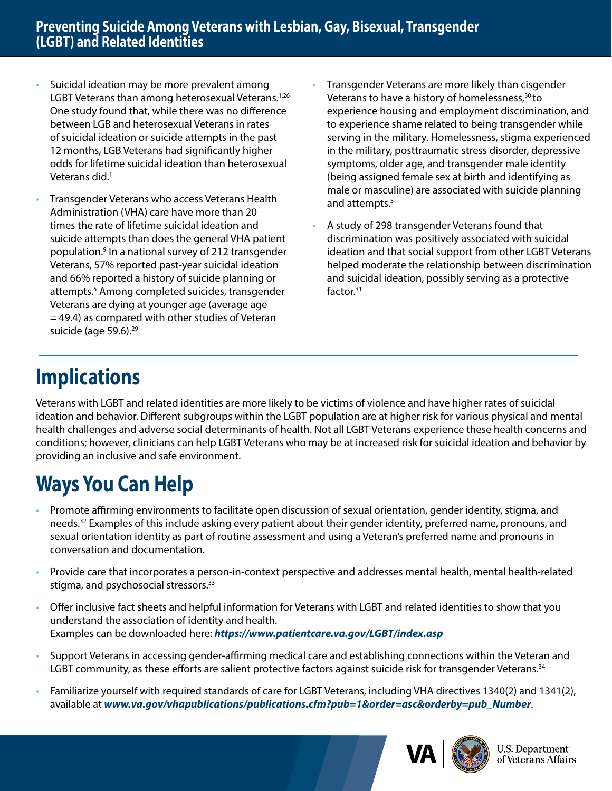- Suicidal ideation may be more prevalent among LGBT Veterans than among heterosexual Veterans.<sup>1,26</sup> One study found that, while there was no difference between LGB and heterosexual Veterans in rates of suicidal ideation or suicide attempts in the past 12 months, LGB Veterans had significantly higher odds for lifetime suicidal ideation than heterosexual Veterans did.<sup>1</sup>
- Transgender Veterans who access Veterans Health Administration (VHA) care have more than 20 times the rate of lifetime suicidal ideation and suicide attempts than does the general VHA patient population.9 In a national survey of 212 transgender Veterans, 57% reported past-year suicidal ideation and 66% reported a history of suicide planning or attempts.<sup>5</sup> Among completed suicides, transgender Veterans are dying at younger age (average age  $=$  49.4) as compared with other studies of Veteran suicide (age 59.6).<sup>29</sup>
- Transgender Veterans are more likely than cisgender Veterans to have a history of homelessness,<sup>30</sup> to experience housing and employment discrimination, and to experience shame related to being transgender while serving in the military. Homelessness, stigma experienced in the military, posttraumatic stress disorder, depressive symptoms, older age, and transgender male identity (being assigned female sex at birth and identifying as male or masculine) are associated with suicide planning and attempts.<sup>5</sup>
- A study of 298 transgender Veterans found that discrimination was positively associated with suicidal ideation and that social support from other LGBT Veterans helped moderate the relationship between discrimination and suicidal ideation, possibly serving as a protective factor.31

## **Implications**

Veterans with LGBT and related identities are more likely to be victims of violence and have higher rates of suicidal ideation and behavior. Different subgroups within the LGBT population are at higher risk for various physical and mental health challenges and adverse social determinants of health. Not all LGBT Veterans experience these health concerns and conditions; however, clinicians can help LGBT Veterans who may be at increased risk for suicidal ideation and behavior by providing an inclusive and safe environment.

# **Ways You Can Help**

- Promote affirming environments to facilitate open discussion of sexual orientation, gender identity, stigma, and needs.<sup>32</sup> Examples of this include asking every patient about their gender identity, preferred name, pronouns, and sexual orientation identity as part of routine assessment and using a Veteran's preferred name and pronouns in conversation and documentation.
- Provide care that incorporates a person-in-context perspective and addresses mental health, mental health-related stigma, and psychosocial stressors.<sup>33</sup>
- Offer inclusive fact sheets and helpful information for Veterans with LGBT and related identities to show that you understand the association of identity and health. Examples can be downloaded here: *<https://www.patientcare.va.gov/LGBT/index.asp>*
- Support Veterans in accessing gender-affirming medical care and establishing connections within the Veteran and LGBT community, as these efforts are salient protective factors against suicide risk for transgender Veterans.<sup>34</sup>
- Familiarize yourself with required standards of care for LGBT Veterans, including VHA directives 1340(2) and 1341(2), available at *[www.va.gov/vhapublications/publications.cfm?pub=1&order=asc&orderby=pub\\_Number](http://www.va.gov/vhapublications/publications.cfm?pub=1&order=asc&orderby=pub_Number)*.